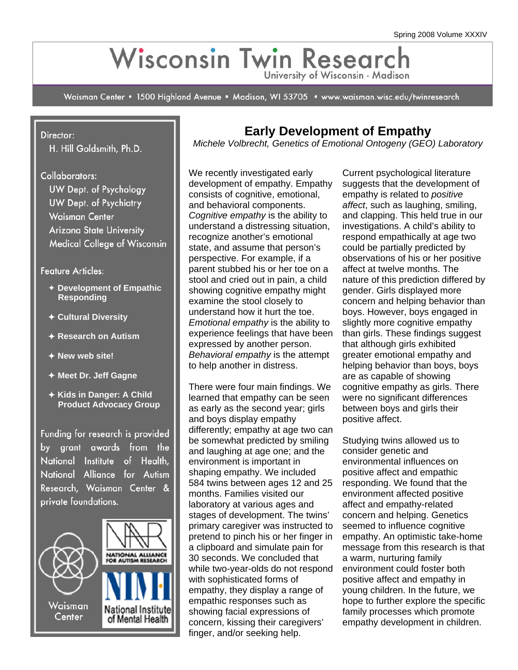# Wisconsin Twin Research University of Wisconsin - Madison

Waisman Center • 1500 Highland Avenue • Madison, WI 53705 • www.waisman.wisc.edu/twinresearch

#### Director:

H. Hill Goldsmith, Ph.D.

Collaborators:

**UW Dept. of Psychology UW Dept. of Psychiatry Waisman Center Arizona State University Medical College of Wisconsin** 

#### Feature Articles:

- Ø **Development of Empathic Responding**
- Ø **Cultural Diversity**
- Ø **Research on Autism**
- Ø **New web site!**
- Ø **Meet Dr. Jeff Gagne**
- Ø **Kids in Danger: A Child Product Advocacy Group**

Funding for research is provided by grant awards from the National Institute of Health, National Alliance for Autism Research, Waisman Center & private foundations.



## **Early Development of Empathy**

*Michele Volbrecht, Genetics of Emotional Ontogeny (GEO) Laboratory* 

We recently investigated early development of empathy. Empathy consists of cognitive, emotional, and behavioral components. *Cognitive empathy* is the ability to understand a distressing situation, recognize another's emotional state, and assume that person's perspective. For example, if a parent stubbed his or her toe on a stool and cried out in pain, a child showing cognitive empathy might examine the stool closely to understand how it hurt the toe. *Emotional empathy* is the ability to experience feelings that have been expressed by another person. *Behavioral empathy* is the attempt to help another in distress.

There were four main findings. We learned that empathy can be seen as early as the second year; girls and boys display empathy differently; empathy at age two can be somewhat predicted by smiling and laughing at age one; and the environment is important in shaping empathy. We included 584 twins between ages 12 and 25 months. Families visited our laboratory at various ages and stages of development. The twins' primary caregiver was instructed to pretend to pinch his or her finger in a clipboard and simulate pain for 30 seconds. We concluded that while two-year-olds do not respond with sophisticated forms of empathy, they display a range of empathic responses such as showing facial expressions of concern, kissing their caregivers' finger, and/or seeking help.

Current psychological literature suggests that the development of empathy is related to *positive affect*, such as laughing, smiling, and clapping. This held true in our investigations. A child's ability to respond empathically at age two could be partially predicted by observations of his or her positive affect at twelve months. The nature of this prediction differed by gender. Girls displayed more concern and helping behavior than boys. However, boys engaged in slightly more cognitive empathy than girls. These findings suggest that although girls exhibited greater emotional empathy and helping behavior than boys, boys are as capable of showing cognitive empathy as girls. There were no significant differences between boys and girls their positive affect.

Studying twins allowed us to consider genetic and environmental influences on positive affect and empathic responding. We found that the environment affected positive affect and empathy-related concern and helping. Genetics seemed to influence cognitive empathy. An optimistic take-home message from this research is that a warm, nurturing family environment could foster both positive affect and empathy in young children. In the future, we hope to further explore the specific family processes which promote empathy development in children.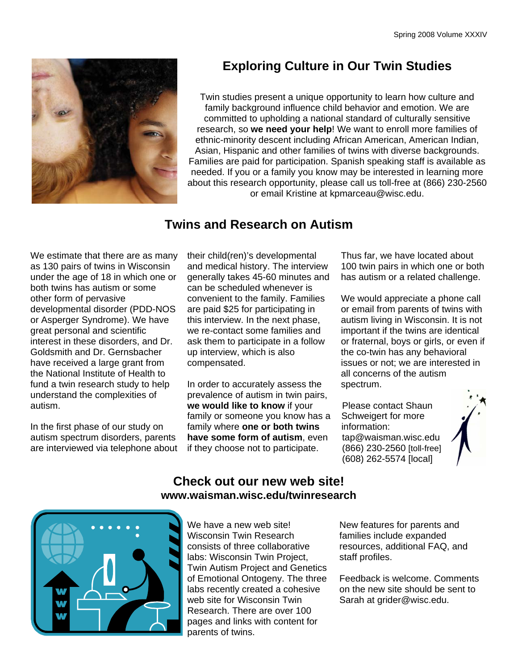

# **Exploring Culture in Our Twin Studies**

Twin studies present a unique opportunity to learn how culture and family background influence child behavior and emotion. We are committed to upholding a national standard of culturally sensitive research, so **we need your help**! We want to enroll more families of ethnic-minority descent including African American, American Indian, Asian, Hispanic and other families of twins with diverse backgrounds. Families are paid for participation. Spanish speaking staff is available as needed. If you or a family you know may be interested in learning more about this research opportunity, please call us toll-free at (866) 230-2560 or email Kristine at kpmarceau@wisc.edu.

### **Twins and Research on Autism**

We estimate that there are as many as 130 pairs of twins in Wisconsin under the age of 18 in which one or both twins has autism or some other form of pervasive developmental disorder (PDD-NOS or Asperger Syndrome). We have great personal and scientific interest in these disorders, and Dr. Goldsmith and Dr. Gernsbacher have received a large grant from the National Institute of Health to fund a twin research study to help understand the complexities of autism.

In the first phase of our study on autism spectrum disorders, parents are interviewed via telephone about their child(ren)'s developmental and medical history. The interview generally takes 45-60 minutes and can be scheduled whenever is convenient to the family. Families are paid \$25 for participating in this interview. In the next phase, we re-contact some families and ask them to participate in a follow up interview, which is also compensated.

In order to accurately assess the prevalence of autism in twin pairs, **we would like to know** if your family or someone you know has a family where **one or both twins have some form of autism**, even if they choose not to participate.

Thus far, we have located about 100 twin pairs in which one or both has autism or a related challenge.

We would appreciate a phone call or email from parents of twins with autism living in Wisconsin. It is not important if the twins are identical or fraternal, boys or girls, or even if the co-twin has any behavioral issues or not; we are interested in all concerns of the autism spectrum.

Please contact Shaun Schweigert for more information: tap@waisman.wisc.edu (866) 230-2560 [toll-free] (608) 262-5574 [local]



#### **Check out our new web site! www.waisman.wisc.edu/twinresearch**



We have a new web site! Wisconsin Twin Research consists of three collaborative labs: Wisconsin Twin Project, Twin Autism Project and Genetics of Emotional Ontogeny. The three labs recently created a cohesive web site for Wisconsin Twin Research. There are over 100 pages and links with content for parents of twins.

New features for parents and families include expanded resources, additional FAQ, and staff profiles.

Feedback is welcome. Comments on the new site should be sent to Sarah at grider@wisc.edu.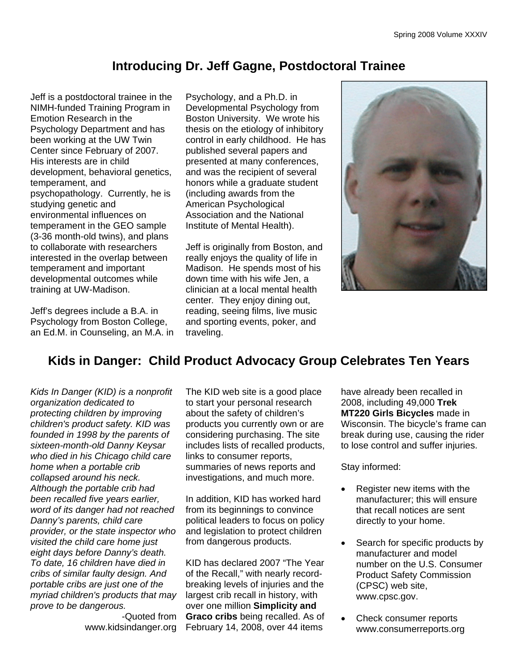### **Introducing Dr. Jeff Gagne, Postdoctoral Trainee**

Jeff is a postdoctoral trainee in the NIMH-funded Training Program in Emotion Research in the Psychology Department and has been working at the UW Twin Center since February of 2007. His interests are in child development, behavioral genetics, temperament, and psychopathology. Currently, he is studying genetic and environmental influences on temperament in the GEO sample (3-36 month-old twins), and plans to collaborate with researchers interested in the overlap between temperament and important developmental outcomes while training at UW-Madison.

Jeff's degrees include a B.A. in Psychology from Boston College, an Ed.M. in Counseling, an M.A. in Psychology, and a Ph.D. in Developmental Psychology from Boston University. We wrote his thesis on the etiology of inhibitory control in early childhood. He has published several papers and presented at many conferences, and was the recipient of several honors while a graduate student (including awards from the American Psychological Association and the National Institute of Mental Health).

Jeff is originally from Boston, and really enjoys the quality of life in Madison. He spends most of his down time with his wife Jen, a clinician at a local mental health center*.* They enjoy dining out, reading, seeing films, live music and sporting events, poker, and traveling.



### **Kids in Danger: Child Product Advocacy Group Celebrates Ten Years**

*Kids In Danger (KID) is a nonprofit organization dedicated to protecting children by improving children's product safety. KID was founded in 1998 by the parents of sixteen-month-old Danny Keysar who died in his Chicago child care home when a portable crib collapsed around his neck. Although the portable crib had been recalled five years earlier, word of its danger had not reached Danny's parents, child care provider, or the state inspector who visited the child care home just eight days before Danny's death. To date, 16 children have died in cribs of similar faulty design. And portable cribs are just one of the myriad children's products that may prove to be dangerous.* 

-Quoted from

The KID web site is a good place to start your personal research about the safety of children's products you currently own or are considering purchasing. The site includes lists of recalled products, links to consumer reports, summaries of news reports and investigations, and much more.

In addition, KID has worked hard from its beginnings to convince political leaders to focus on policy and legislation to protect children from dangerous products.

www.kidsindanger.org February 14, 2008, over 44 items KID has declared 2007 "The Year of the Recall," with nearly recordbreaking levels of injuries and the largest crib recall in history, with over one million **Simplicity and Graco cribs** being recalled. As of have already been recalled in 2008, including 49,000 **Trek MT220 Girls Bicycles** made in Wisconsin. The bicycle's frame can break during use, causing the rider to lose control and suffer injuries.

Stay informed:

- Register new items with the manufacturer; this will ensure that recall notices are sent directly to your home.
- Search for specific products by manufacturer and model number on the U.S. Consumer Product Safety Commission (CPSC) web site, www.cpsc.gov.
- Check consumer reports www.consumerreports.org